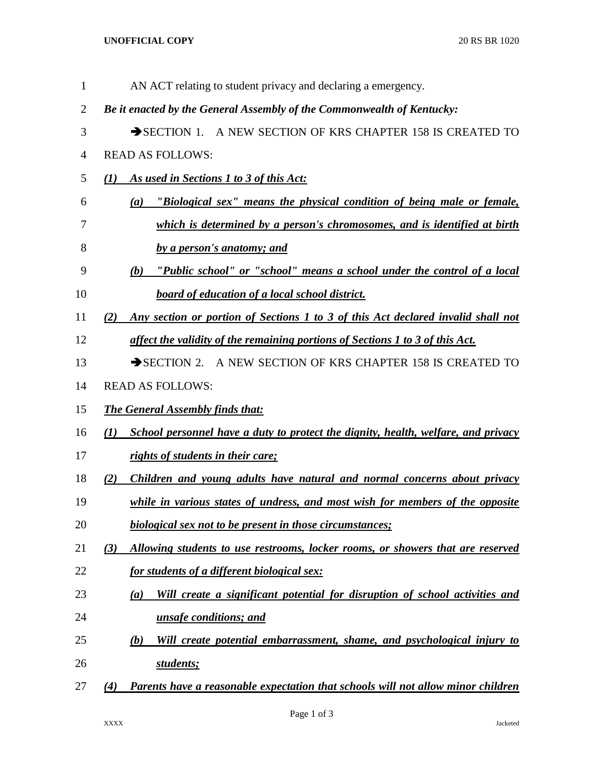## **UNOFFICIAL COPY** 20 RS BR 1020

| $\mathbf{1}$   | AN ACT relating to student privacy and declaring a emergency.                            |
|----------------|------------------------------------------------------------------------------------------|
| $\overline{2}$ | Be it enacted by the General Assembly of the Commonwealth of Kentucky:                   |
| 3              | SECTION 1. A NEW SECTION OF KRS CHAPTER 158 IS CREATED TO                                |
| 4              | <b>READ AS FOLLOWS:</b>                                                                  |
| 5              | As used in Sections 1 to 3 of this Act:<br>$\mathcal{L}(I)$                              |
| 6              | "Biological sex" means the physical condition of being male or female,<br>(a)            |
| 7              | which is determined by a person's chromosomes, and is identified at birth                |
| 8              | by a person's anatomy; and                                                               |
| 9              | "Public school" or "school" means a school under the control of a local<br>(b)           |
| 10             | <b>board of education of a local school district.</b>                                    |
| 11             | Any section or portion of Sections 1 to 3 of this Act declared invalid shall not<br>(2)  |
| 12             | affect the validity of the remaining portions of Sections 1 to 3 of this Act.            |
| 13             | $\rightarrow$ SECTION 2.<br>A NEW SECTION OF KRS CHAPTER 158 IS CREATED TO               |
| 14             | <b>READ AS FOLLOWS:</b>                                                                  |
| 15             | <b>The General Assembly finds that:</b>                                                  |
| 16             | School personnel have a duty to protect the dignity, health, welfare, and privacy<br>(1) |
| 17             | rights of students in their care;                                                        |
| 18             | Children and young adults have natural and normal concerns about privacy<br>(2)          |
| 19             | while in various states of undress, and most wish for members of the opposite            |
| 20             | <b>biological sex not to be present in those circumstances;</b>                          |
| 21             | Allowing students to use restrooms, locker rooms, or showers that are reserved<br>(3)    |
| 22             | <u>for students of a different biological sex:</u>                                       |
| 23             | Will create a significant potential for disruption of school activities and<br>(a)       |
| 24             | unsafe conditions; and                                                                   |
| 25             | (b)<br>Will create potential embarrassment, shame, and psychological injury to           |
| 26             | students;                                                                                |
| 27             | Parents have a reasonable expectation that schools will not allow minor children<br>(4)  |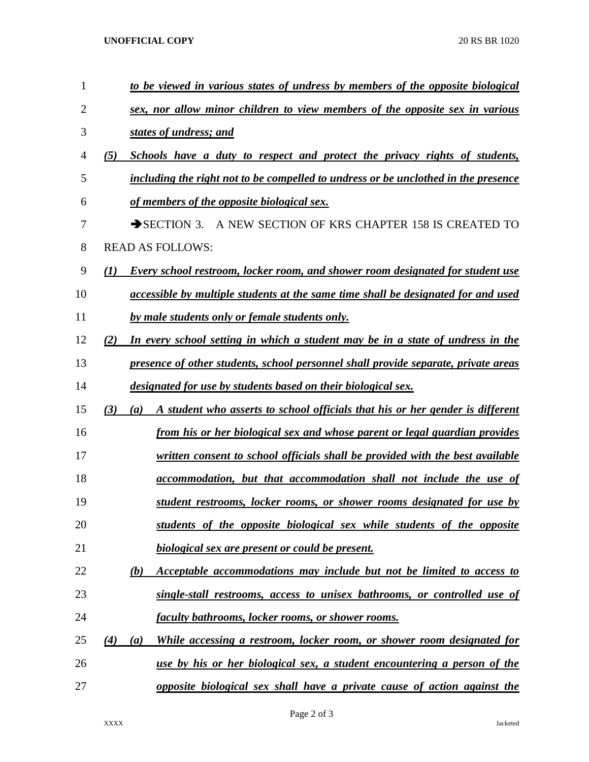**UNOFFICIAL COPY** 20 RS BR 1020

| 1  | to be viewed in various states of undress by members of the opposite biological             |
|----|---------------------------------------------------------------------------------------------|
| 2  | sex, nor allow minor children to view members of the opposite sex in various                |
| 3  | states of undress; and                                                                      |
| 4  | (5)<br>Schools have a duty to respect and protect the privacy rights of students,           |
| 5  | including the right not to be compelled to undress or be unclothed in the presence          |
| 6  | of members of the opposite biological sex.                                                  |
| 7  | A NEW SECTION OF KRS CHAPTER 158 IS CREATED TO<br>$\rightarrow$ SECTION 3.                  |
| 8  | <b>READ AS FOLLOWS:</b>                                                                     |
| 9  | Every school restroom, locker room, and shower room designated for student use<br>(I)       |
| 10 | accessible by multiple students at the same time shall be designated for and used           |
| 11 | by male students only or female students only.                                              |
| 12 | In every school setting in which a student may be in a state of undress in the<br>(2)       |
| 13 | presence of other students, school personnel shall provide separate, private areas          |
| 14 | designated for use by students based on their biological sex.                               |
| 15 | A student who asserts to school officials that his or her gender is different<br>(3)<br>(a) |
| 16 | from his or her biological sex and whose parent or legal guardian provides                  |
| 17 | written consent to school officials shall be provided with the best available               |
| 18 | accommodation, but that accommodation shall not include the use of                          |
| 19 | student restrooms, locker rooms, or shower rooms designated for use by                      |
| 20 | students of the opposite biological sex while students of the opposite                      |
| 21 | biological sex are present or could be present.                                             |
| 22 | Acceptable accommodations may include but not be limited to access to<br>(b)                |
| 23 | single-stall restrooms, access to unisex bathrooms, or controlled use of                    |
| 24 | faculty bathrooms, locker rooms, or shower rooms.                                           |
| 25 | While accessing a restroom, locker room, or shower room designated for<br>(4)<br>(a)        |
| 26 | use by his or her biological sex, a student encountering a person of the                    |
| 27 | opposite biological sex shall have a private cause of action against the                    |